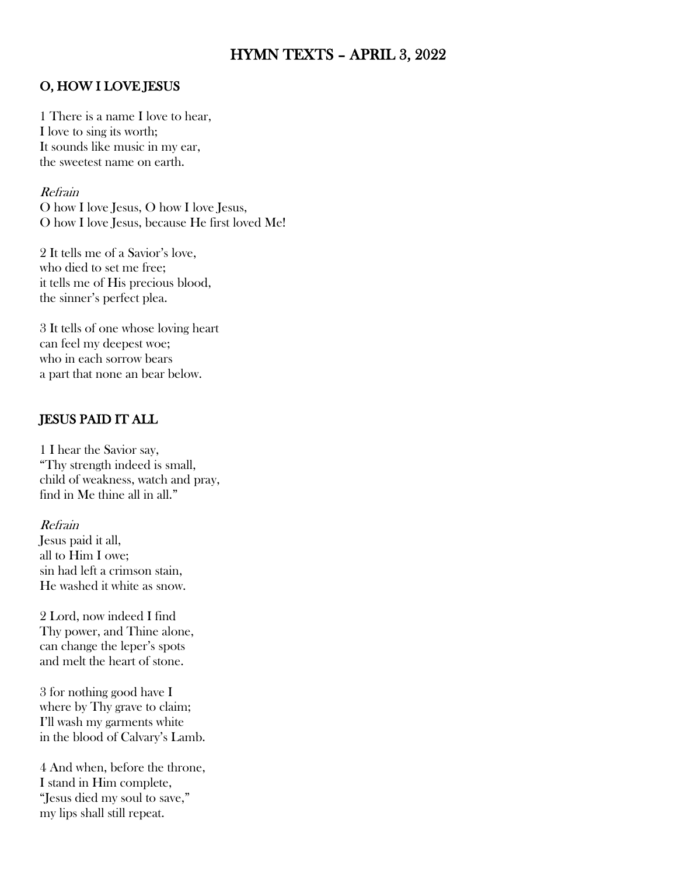# HYMN TEXTS – APRIL 3, 2022

### O, HOW I LOVE JESUS

1 There is a name I love to hear, I love to sing its worth; It sounds like music in my ear, the sweetest name on earth.

Refrain

O how I love Jesus, O how I love Jesus, O how I love Jesus, because He first loved Me!

2 It tells me of a Savior's love, who died to set me free; it tells me of His precious blood, the sinner's perfect plea.

3 It tells of one whose loving heart can feel my deepest woe; who in each sorrow bears a part that none an bear below.

## JESUS PAID IT ALL

1 I hear the Savior say, "Thy strength indeed is small, child of weakness, watch and pray, find in Me thine all in all."

#### Refrain

Jesus paid it all, all to Him I owe; sin had left a crimson stain, He washed it white as snow.

2 Lord, now indeed I find Thy power, and Thine alone, can change the leper's spots and melt the heart of stone.

3 for nothing good have I where by Thy grave to claim; I'll wash my garments white in the blood of Calvary's Lamb.

4 And when, before the throne, I stand in Him complete, "Jesus died my soul to save," my lips shall still repeat.